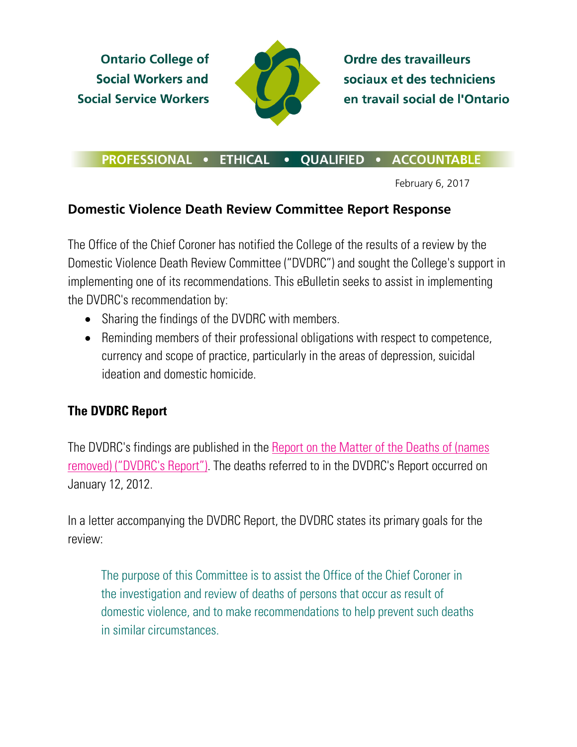**Ontario College of Social Workers and Social Service Workers** 



**Ordre des travailleurs** sociaux et des techniciens en travail social de l'Ontario

## PROFESSIONAL . ETHICAL . QUALIFIED . ACCOUNTABLE

February 6, 2017

## **Domestic Violence Death Review Committee Report Response**

The Office of the Chief Coroner has notified the College of the results of a review by the Domestic Violence Death Review Committee ("DVDRC") and sought the College's support in implementing one of its recommendations. This eBulletin seeks to assist in implementing the DVDRC's recommendation by:

- Sharing the findings of the DVDRC with members.
- Reminding members of their professional obligations with respect to competence, currency and scope of practice, particularly in the areas of depression, suicidal ideation and domestic homicide.

## **The DVDRC Report**

The DVDRC's findings are published in the **Report on the Matter of the Deaths of (names** [removed\) \("DVDRC's Report"\).](http://www.ocswssw.org/wp-content/uploads/2017/02/DVDRC-Report.pdf) The deaths referred to in the DVDRC's Report occurred on January 12, 2012.

In a letter accompanying the DVDRC Report, the DVDRC states its primary goals for the review:

The purpose of this Committee is to assist the Office of the Chief Coroner in the investigation and review of deaths of persons that occur as result of domestic violence, and to make recommendations to help prevent such deaths in similar circumstances.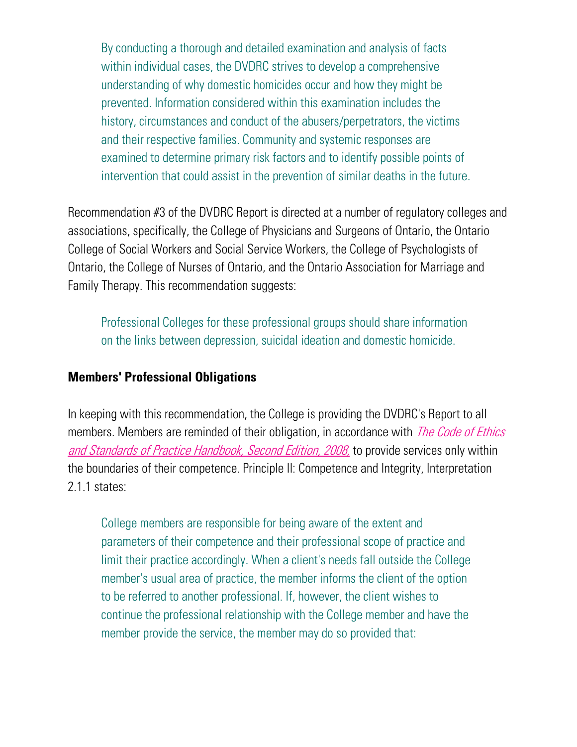By conducting a thorough and detailed examination and analysis of facts within individual cases, the DVDRC strives to develop a comprehensive understanding of why domestic homicides occur and how they might be prevented. Information considered within this examination includes the history, circumstances and conduct of the abusers/perpetrators, the victims and their respective families. Community and systemic responses are examined to determine primary risk factors and to identify possible points of intervention that could assist in the prevention of similar deaths in the future.

Recommendation #3 of the DVDRC Report is directed at a number of regulatory colleges and associations, specifically, the College of Physicians and Surgeons of Ontario, the Ontario College of Social Workers and Social Service Workers, the College of Psychologists of Ontario, the College of Nurses of Ontario, and the Ontario Association for Marriage and Family Therapy. This recommendation suggests:

Professional Colleges for these professional groups should share information on the links between depression, suicidal ideation and domestic homicide.

## **Members' Professional Obligations**

In keeping with this recommendation, the College is providing the DVDRC's Report to all members. Members are reminded of their obligation, in accordance with *The Code of Ethics* [and Standards of Practice Handbook, Second Edition, 2008,](http://www.ocswssw.org/wp-content/uploads/2015/05/Code-of-Ethics-and-Standards-of-Practice-May-2015.pdf) to provide services only within the boundaries of their competence. Principle II: Competence and Integrity, Interpretation 2.1.1 states:

College members are responsible for being aware of the extent and parameters of their competence and their professional scope of practice and limit their practice accordingly. When a client's needs fall outside the College member's usual area of practice, the member informs the client of the option to be referred to another professional. If, however, the client wishes to continue the professional relationship with the College member and have the member provide the service, the member may do so provided that: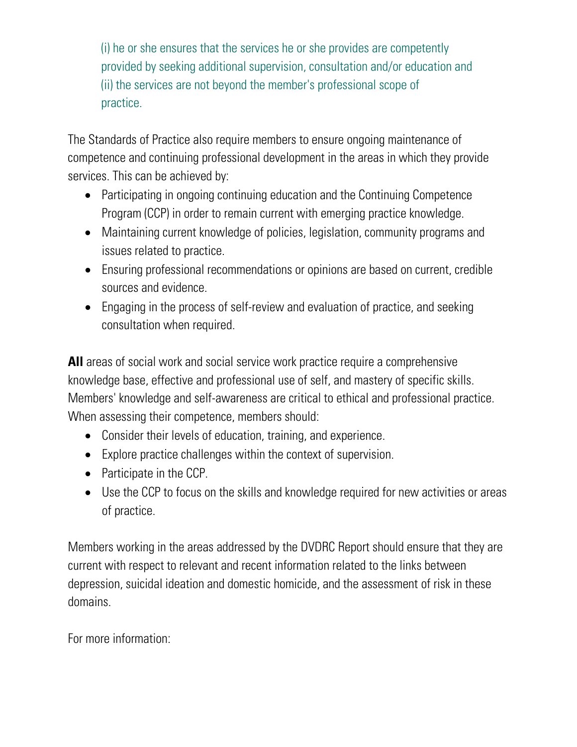(i) he or she ensures that the services he or she provides are competently provided by seeking additional supervision, consultation and/or education and (ii) the services are not beyond the member's professional scope of practice.

The Standards of Practice also require members to ensure ongoing maintenance of competence and continuing professional development in the areas in which they provide services. This can be achieved by:

- Participating in ongoing continuing education and the Continuing Competence Program (CCP) in order to remain current with emerging practice knowledge.
- Maintaining current knowledge of policies, legislation, community programs and issues related to practice.
- Ensuring professional recommendations or opinions are based on current, credible sources and evidence.
- Engaging in the process of self-review and evaluation of practice, and seeking consultation when required.

**All** areas of social work and social service work practice require a comprehensive knowledge base, effective and professional use of self, and mastery of specific skills. Members' knowledge and self-awareness are critical to ethical and professional practice. When assessing their competence, members should:

- Consider their levels of education, training, and experience.
- Explore practice challenges within the context of supervision.
- Participate in the CCP.
- Use the CCP to focus on the skills and knowledge required for new activities or areas of practice.

Members working in the areas addressed by the DVDRC Report should ensure that they are current with respect to relevant and recent information related to the links between depression, suicidal ideation and domestic homicide, and the assessment of risk in these domains.

For more information: